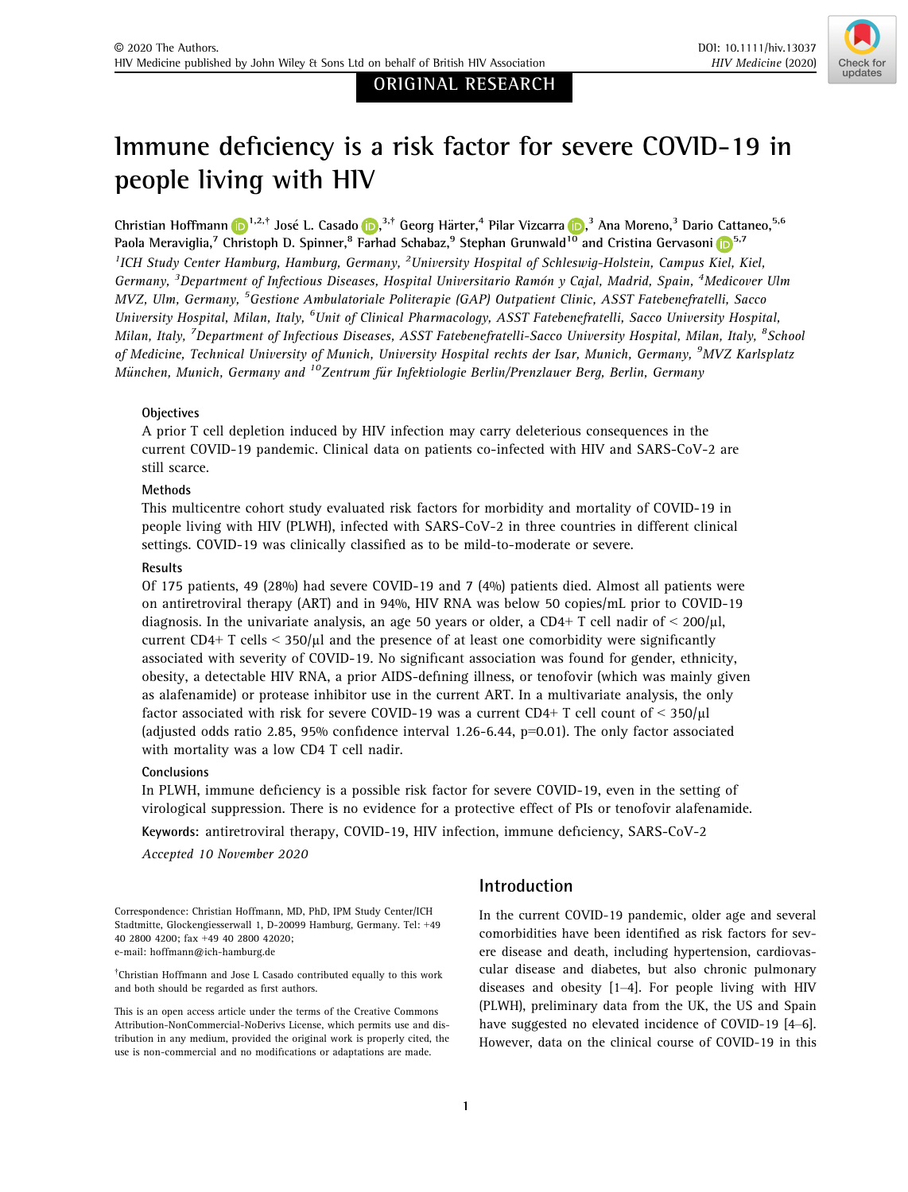# ORIGINAL RESEARCH



# Immune deficiency is a risk factor for severe COVID-19 in people living with HIV

Christian Hoffmann <mark>(D</mark> 1,2,† José L. Casado (D,<sup>3,†</sup> Georg Härter,<sup>4</sup> Pilar Vizcarra (D,<sup>3</sup> Ana Moreno,<sup>3</sup> Dario Cattaneo,<sup>5,6</sup> Paola Meraviglia,<sup>7</sup> Christoph D. Spinner,<sup>8</sup> Farhad Schabaz,<sup>9</sup> Stephan Grunwald<sup>10</sup> and Cristina Gervasoni <sup>5,7</sup> <sup>1</sup>ICH Study Center Hamburg, Hamburg, Germany, <sup>2</sup>University Hospital of Schleswig-Holstein, Campus Kiel, Kiel, Germany, <sup>3</sup>Department of Infectious Diseases, Hospital Universitario Ramón y Cajal, Madrid, Spain, <sup>4</sup>Medicover Ulm MVZ, Ulm, Germany, <sup>5</sup>Gestione Ambulatoriale Politerapie (GAP) Outpatient Clinic, ASST Fatebenefratelli, Sacco University Hospital, Milan, Italy, <sup>6</sup>Unit of Clinical Pharmacology, ASST Fatebenefratelli, Sacco University Hospital, Milan, Italy, <sup>7</sup>Department of Infectious Diseases, ASST Fatebenefratelli-Sacco University Hospital, Milan, Italy, <sup>8</sup>School of Medicine, Technical University of Munich, University Hospital rechts der Isar, Munich, Germany, <sup>9</sup>MVZ Karlsplatz München, Munich, Germany and <sup>10</sup>Zentrum für Infektiologie Berlin/Prenzlauer Berg, Berlin, Germany

## **Objectives**

A prior T cell depletion induced by HIV infection may carry deleterious consequences in the current COVID-19 pandemic. Clinical data on patients co-infected with HIV and SARS-CoV-2 are still scarce.

#### Methods

This multicentre cohort study evaluated risk factors for morbidity and mortality of COVID-19 in people living with HIV (PLWH), infected with SARS-CoV-2 in three countries in different clinical settings. COVID-19 was clinically classified as to be mild-to-moderate or severe.

## Results

Of 175 patients, 49 (28%) had severe COVID-19 and 7 (4%) patients died. Almost all patients were on antiretroviral therapy (ART) and in 94%, HIV RNA was below 50 copies/mL prior to COVID-19 diagnosis. In the univariate analysis, an age 50 years or older, a CD4+ T cell nadir of  $\leq 200/\mu$ l, current CD4+ T cells  $\lt$  350/ $\mu$ l and the presence of at least one comorbidity were significantly associated with severity of COVID-19. No significant association was found for gender, ethnicity, obesity, a detectable HIV RNA, a prior AIDS-defining illness, or tenofovir (which was mainly given as alafenamide) or protease inhibitor use in the current ART. In a multivariate analysis, the only factor associated with risk for severe COVID-19 was a current CD4+ T cell count of  $\leq 350/\mu$ l (adjusted odds ratio 2.85, 95% confidence interval 1.26-6.44,  $p=0.01$ ). The only factor associated with mortality was a low CD4 T cell nadir.

#### Conclusions

In PLWH, immune deficiency is a possible risk factor for severe COVID-19, even in the setting of virological suppression. There is no evidence for a protective effect of PIs or tenofovir alafenamide.

Keywords: antiretroviral therapy, COVID-19, HIV infection, immune deficiency, SARS-CoV-2

Accepted 10 November 2020

Correspondence: Christian Hoffmann, MD, PhD, IPM Study Center/ICH Stadtmitte, Glockengiesserwall 1, D-20099 Hamburg, Germany. Tel: +49 40 2800 4200; fax +49 40 2800 42020; e-mail: hoffmann@ich-hamburg.de

† Christian Hoffmann and Jose L Casado contributed equally to this work and both should be regarded as first authors.

This is an open access article under the terms of the Creative Commons Attribution-NonCommercial-NoDerivs License, which permits use and distribution in any medium, provided the original work is properly cited, the use is non-commercial and no modifications or adaptations are made.

# Introduction

In the current COVID-19 pandemic, older age and several comorbidities have been identified as risk factors for severe disease and death, including hypertension, cardiovascular disease and diabetes, but also chronic pulmonary diseases and obesity [1–4]. For people living with HIV (PLWH), preliminary data from the UK, the US and Spain have suggested no elevated incidence of COVID-19 [4–6]. However, data on the clinical course of COVID-19 in this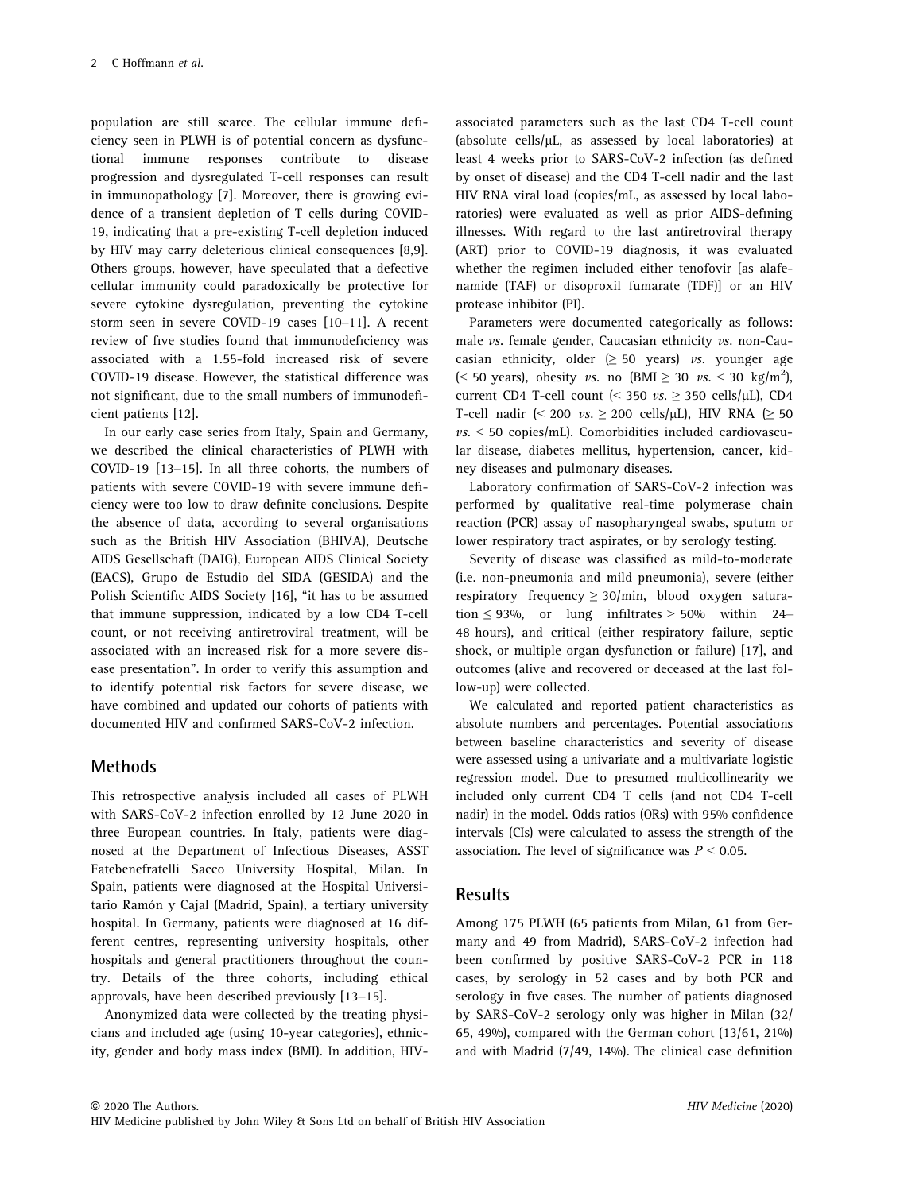population are still scarce. The cellular immune deficiency seen in PLWH is of potential concern as dysfunctional immune responses contribute to disease progression and dysregulated T-cell responses can result in immunopathology [7]. Moreover, there is growing evidence of a transient depletion of T cells during COVID-19, indicating that a pre-existing T-cell depletion induced by HIV may carry deleterious clinical consequences [8,9]. Others groups, however, have speculated that a defective cellular immunity could paradoxically be protective for severe cytokine dysregulation, preventing the cytokine storm seen in severe COVID-19 cases [10–11]. A recent review of five studies found that immunodeficiency was associated with a 1.55-fold increased risk of severe COVID-19 disease. However, the statistical difference was not significant, due to the small numbers of immunodeficient patients [12].

In our early case series from Italy, Spain and Germany, we described the clinical characteristics of PLWH with COVID-19 [13–15]. In all three cohorts, the numbers of patients with severe COVID-19 with severe immune deficiency were too low to draw definite conclusions. Despite the absence of data, according to several organisations such as the British HIV Association (BHIVA), Deutsche AIDS Gesellschaft (DAIG), European AIDS Clinical Society (EACS), Grupo de Estudio del SIDA (GESIDA) and the Polish Scientific AIDS Society [16], "it has to be assumed that immune suppression, indicated by a low CD4 T-cell count, or not receiving antiretroviral treatment, will be associated with an increased risk for a more severe disease presentation". In order to verify this assumption and to identify potential risk factors for severe disease, we have combined and updated our cohorts of patients with documented HIV and confirmed SARS-CoV-2 infection.

## Methods

This retrospective analysis included all cases of PLWH with SARS-CoV-2 infection enrolled by 12 June 2020 in three European countries. In Italy, patients were diagnosed at the Department of Infectious Diseases, ASST Fatebenefratelli Sacco University Hospital, Milan. In Spain, patients were diagnosed at the Hospital Universitario Ramón y Cajal (Madrid, Spain), a tertiary university hospital. In Germany, patients were diagnosed at 16 different centres, representing university hospitals, other hospitals and general practitioners throughout the country. Details of the three cohorts, including ethical approvals, have been described previously [13–15].

Anonymized data were collected by the treating physicians and included age (using 10-year categories), ethnicity, gender and body mass index (BMI). In addition, HIV-

associated parameters such as the last CD4 T-cell count (absolute cells/ $\mu$ L, as assessed by local laboratories) at least 4 weeks prior to SARS-CoV-2 infection (as defined by onset of disease) and the CD4 T-cell nadir and the last HIV RNA viral load (copies/mL, as assessed by local laboratories) were evaluated as well as prior AIDS-defining illnesses. With regard to the last antiretroviral therapy (ART) prior to COVID-19 diagnosis, it was evaluated whether the regimen included either tenofovir [as alafenamide (TAF) or disoproxil fumarate (TDF)] or an HIV protease inhibitor (PI).

Parameters were documented categorically as follows: male *vs.* female gender, Caucasian ethnicity *vs.* non-Caucasian ethnicity, older ( $\geq$  50 years) vs. younger age (< 50 years), obesity vs. no  $(BMI \ge 30$  vs. < 30 kg/m<sup>2</sup>), current CD4 T-cell count (< 350  $vs. \geq 350$  cells/ $\mu$ L), CD4 T-cell nadir (< 200  $vs. \geq 200$  cells/ $\mu$ L), HIV RNA ( $\geq 50$  $\nu$ s. < 50 copies/mL). Comorbidities included cardiovascular disease, diabetes mellitus, hypertension, cancer, kidney diseases and pulmonary diseases.

Laboratory confirmation of SARS-CoV-2 infection was performed by qualitative real-time polymerase chain reaction (PCR) assay of nasopharyngeal swabs, sputum or lower respiratory tract aspirates, or by serology testing.

Severity of disease was classified as mild-to-moderate (i.e. non-pneumonia and mild pneumonia), severe (either respiratory frequency  $\geq$  30/min, blood oxygen saturation  $\leq$  93%, or lung infiltrates  $>$  50% within 24– 48 hours), and critical (either respiratory failure, septic shock, or multiple organ dysfunction or failure) [17], and outcomes (alive and recovered or deceased at the last follow-up) were collected.

We calculated and reported patient characteristics as absolute numbers and percentages. Potential associations between baseline characteristics and severity of disease were assessed using a univariate and a multivariate logistic regression model. Due to presumed multicollinearity we included only current CD4 T cells (and not CD4 T-cell nadir) in the model. Odds ratios (ORs) with 95% confidence intervals (CIs) were calculated to assess the strength of the association. The level of significance was  $P < 0.05$ .

#### Results

Among 175 PLWH (65 patients from Milan, 61 from Germany and 49 from Madrid), SARS-CoV-2 infection had been confirmed by positive SARS-CoV-2 PCR in 118 cases, by serology in 52 cases and by both PCR and serology in five cases. The number of patients diagnosed by SARS-CoV-2 serology only was higher in Milan (32/ 65, 49%), compared with the German cohort (13/61, 21%) and with Madrid (7/49, 14%). The clinical case definition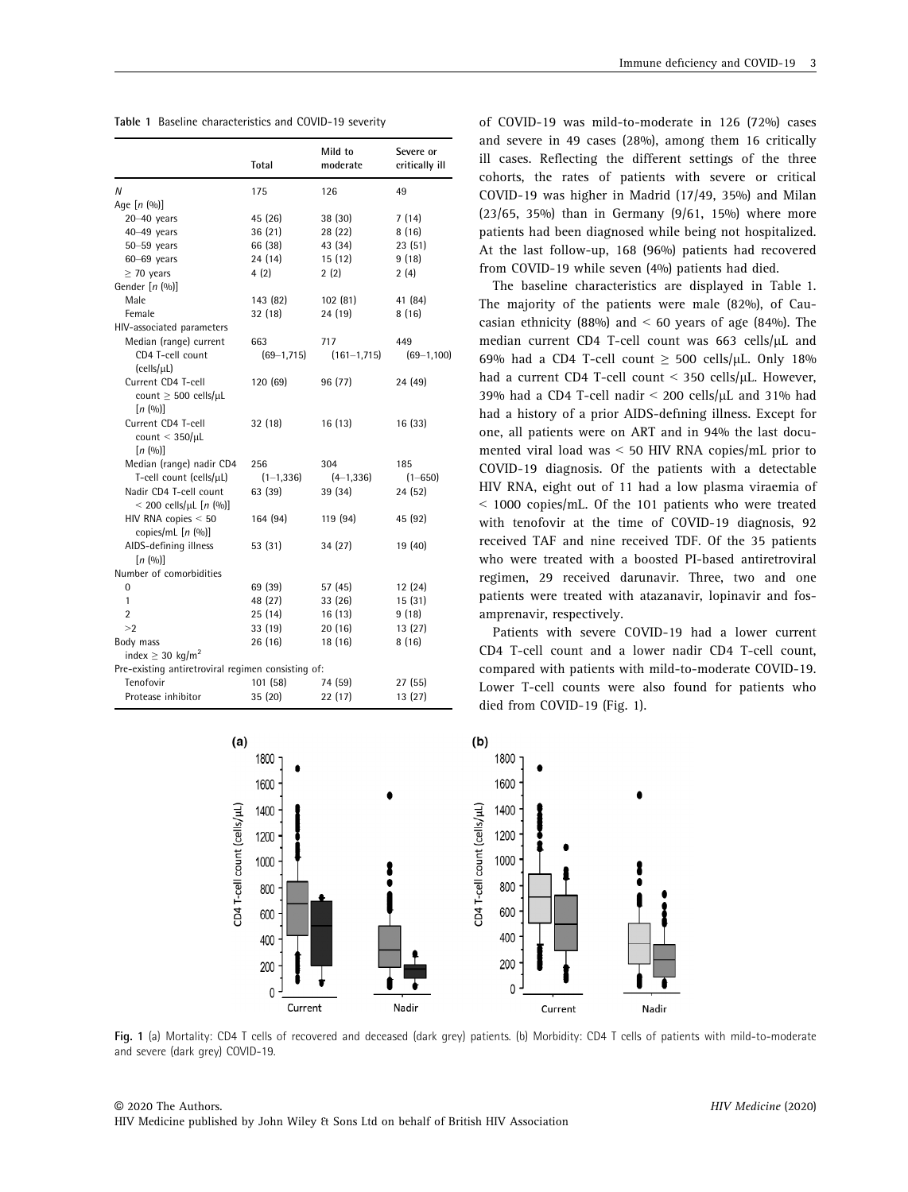| Table 1 Baseline characteristics and COVID-19 severity |  |  |
|--------------------------------------------------------|--|--|
|                                                        |  |  |

|                                                                    | Total           | Mild to<br>moderate | Severe or<br>critically ill |
|--------------------------------------------------------------------|-----------------|---------------------|-----------------------------|
| N                                                                  | 175             | 126                 | 49                          |
| Age $[n(00)]$                                                      |                 |                     |                             |
| $20 - 40$ years                                                    | 45 (26)         | 38 (30)             | 7(14)                       |
| 40-49 years                                                        | 36(21)          | 28 (22)             | 8(16)                       |
| $50 - 59$ years                                                    | 66 (38)         | 43 (34)             | 23(51)                      |
| $60 - 69$ years                                                    | 24 (14)         | 15(12)              | 9(18)                       |
| $\geq$ 70 years                                                    | 4(2)            | 2(2)                | 2(4)                        |
| Gender $[n (96)]$                                                  |                 |                     |                             |
| Male                                                               | 143 (82)        | 102(81)             | 41 (84)                     |
| Female                                                             | 32 (18)         | 24 (19)             | 8(16)                       |
| HIV-associated parameters                                          |                 |                     |                             |
| Median (range) current                                             | 663             | 717                 | 449                         |
| CD4 T-cell count<br>(cells/µL)                                     | $(69 - 1, 715)$ | $(161 - 1, 715)$    | $(69-1, 100)$               |
| Current CD4 T-cell<br>count $\geq$ 500 cells/ $\mu$ L<br>[n (0/0)] | 120 (69)        | 96 (77)             | 24 (49)                     |
| Current CD4 T-cell<br>count $<$ 350/ $\mu$ L<br>[n (00)]           | 32 (18)         | 16 (13)             | 16(33)                      |
| Median (range) nadir CD4                                           | 256             | 304                 | 185                         |
| T-cell count (cells/µL)                                            | $(1-1, 336)$    | $(4 - 1, 336)$      | $(1 - 650)$                 |
| Nadir CD4 T-cell count<br>$<$ 200 cells/µL [n (%)]                 | 63 (39)         | 39 (34)             | 24 (52)                     |
| HIV RNA copies $< 50$<br>copies/mL $[n (96)]$                      | 164 (94)        | 119 (94)            | 45 (92)                     |
| AIDS-defining illness<br>[n (00)]                                  | 53 (31)         | 34 (27)             | 19 (40)                     |
| Number of comorbidities                                            |                 |                     |                             |
| 0                                                                  | 69 (39)         | 57 (45)             | 12 (24)                     |
| 1                                                                  | 48 (27)         | 33 (26)             | 15(31)                      |
| 2                                                                  | 25 (14)         | 16(13)              | 9(18)                       |
| >2                                                                 | 33 (19)         | 20(16)              | 13(27)                      |
| Body mass                                                          | 26 (16)         | 18 (16)             | 8(16)                       |
| index $\geq$ 30 kg/m <sup>2</sup>                                  |                 |                     |                             |
| Pre-existing antiretroviral regimen consisting of:                 |                 |                     |                             |
| Tenofovir                                                          | 101 (58)        | 74 (59)             | 27(55)                      |
| Protease inhibitor                                                 | 35 (20)         | 22 (17)             | 13(27)                      |

of COVID-19 was mild-to-moderate in 126 (72%) cases and severe in 49 cases (28%), among them 16 critically ill cases. Reflecting the different settings of the three cohorts, the rates of patients with severe or critical COVID-19 was higher in Madrid (17/49, 35%) and Milan (23/65, 35%) than in Germany (9/61, 15%) where more patients had been diagnosed while being not hospitalized. At the last follow-up, 168 (96%) patients had recovered from COVID-19 while seven (4%) patients had died.

The baseline characteristics are displayed in Table 1. The majority of the patients were male (82%), of Caucasian ethnicity (88%) and  $\leq$  60 years of age (84%). The median current CD4 T-cell count was  $663$  cells/ $\mu$ L and 69% had a CD4 T-cell count  $\geq$  500 cells/ $\mu$ L. Only 18% had a current CD4 T-cell count  $\leq$  350 cells/uL. However, 39% had a CD4 T-cell nadir  $\leq$  200 cells/ $\mu$ L and 31% had had a history of a prior AIDS-defining illness. Except for one, all patients were on ART and in 94% the last documented viral load was < 50 HIV RNA copies/mL prior to COVID-19 diagnosis. Of the patients with a detectable HIV RNA, eight out of 11 had a low plasma viraemia of < 1000 copies/mL. Of the 101 patients who were treated with tenofovir at the time of COVID-19 diagnosis, 92 received TAF and nine received TDF. Of the 35 patients who were treated with a boosted PI-based antiretroviral regimen, 29 received darunavir. Three, two and one patients were treated with atazanavir, lopinavir and fosamprenavir, respectively.

Patients with severe COVID-19 had a lower current CD4 T-cell count and a lower nadir CD4 T-cell count, compared with patients with mild-to-moderate COVID-19. Lower T-cell counts were also found for patients who died from COVID-19 (Fig. 1).



Fig. 1 (a) Mortality: CD4 T cells of recovered and deceased (dark grey) patients. (b) Morbidity: CD4 T cells of patients with mild-to-moderate and severe (dark grey) COVID-19.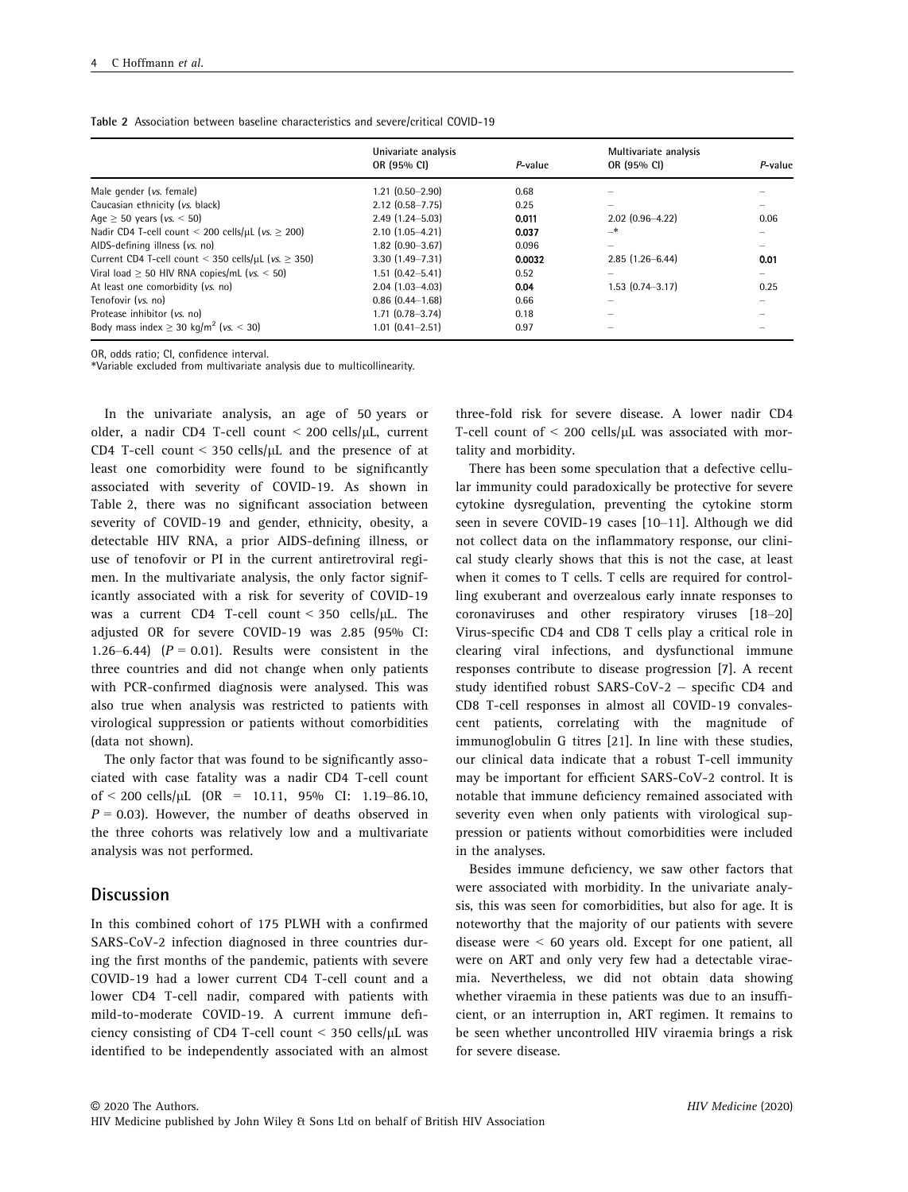| Table 2 Association between baseline characteristics and severe/critical COVID-19 |  |
|-----------------------------------------------------------------------------------|--|
|-----------------------------------------------------------------------------------|--|

|                                                                | Univariate analysis    |         | Multivariate analysis |         |  |
|----------------------------------------------------------------|------------------------|---------|-----------------------|---------|--|
|                                                                | OR (95% CI)            | P-value | OR (95% CI)           | P-value |  |
| Male gender (vs. female)                                       | $1.21(0.50 - 2.90)$    | 0.68    |                       |         |  |
| Caucasian ethnicity (vs. black)                                | $2.12$ (0.58-7.75)     | 0.25    |                       |         |  |
| Age $\geq$ 50 years (vs. $\leq$ 50)                            | $2.49$ (1.24-5.03)     | 0.011   | $2.02$ (0.96-4.22)    | 0.06    |  |
| Nadir CD4 T-cell count < 200 cells/µL ( $vs. \ge 200$ )        | $2.10(1.05 - 4.21)$    | 0.037   | _*                    |         |  |
| AIDS-defining illness (vs. no)                                 | $1.82$ (0.90-3.67)     | 0.096   |                       |         |  |
| Current CD4 T-cell count < 350 cells/ $\mu$ L (vs. $\geq$ 350) | $3.30(1.49 - 7.31)$    | 0.0032  | $2.85(1.26 - 6.44)$   | 0.01    |  |
| Viral load $\geq$ 50 HIV RNA copies/mL (vs. $\leq$ 50)         | $1.51(0.42 - 5.41)$    | 0.52    | $-$                   |         |  |
| At least one comorbidity (vs. no)                              | $2.04(1.03 - 4.03)$    | 0.04    | $1.53(0.74 - 3.17)$   | 0.25    |  |
| Tenofovir (vs. no)                                             | $0.86$ $(0.44 - 1.68)$ | 0.66    |                       |         |  |
| Protease inhibitor (vs. no)                                    | $1.71(0.78 - 3.74)$    | 0.18    |                       |         |  |
| Body mass index $\geq$ 30 kg/m <sup>2</sup> (vs. < 30)         | $1.01(0.41 - 2.51)$    | 0.97    |                       |         |  |

OR, odds ratio; CI, confidence interval.

\*Variable excluded from multivariate analysis due to multicollinearity.

In the univariate analysis, an age of 50 years or older, a nadir CD4 T-cell count  $\leq$  200 cells/ $\mu$ L, current CD4 T-cell count < 350 cells/ $\mu$ L and the presence of at least one comorbidity were found to be significantly associated with severity of COVID-19. As shown in Table 2, there was no significant association between severity of COVID-19 and gender, ethnicity, obesity, a detectable HIV RNA, a prior AIDS-defining illness, or use of tenofovir or PI in the current antiretroviral regimen. In the multivariate analysis, the only factor significantly associated with a risk for severity of COVID-19 was a current CD4 T-cell count <  $350$  cells/ $\mu$ L. The adjusted OR for severe COVID-19 was 2.85 (95% CI: 1.26–6.44)  $(P = 0.01)$ . Results were consistent in the three countries and did not change when only patients with PCR-confirmed diagnosis were analysed. This was also true when analysis was restricted to patients with virological suppression or patients without comorbidities (data not shown).

The only factor that was found to be significantly associated with case fatality was a nadir CD4 T-cell count of < 200 cells/ $\mu$ L (OR = 10.11, 95% CI: 1.19–86.10,  $P = 0.03$ ). However, the number of deaths observed in the three cohorts was relatively low and a multivariate analysis was not performed.

## Discussion

In this combined cohort of 175 PLWH with a confirmed SARS-CoV-2 infection diagnosed in three countries during the first months of the pandemic, patients with severe COVID-19 had a lower current CD4 T-cell count and a lower CD4 T-cell nadir, compared with patients with mild-to-moderate COVID-19. A current immune deficiency consisting of CD4 T-cell count  $\leq$  350 cells/ $\mu$ L was identified to be independently associated with an almost

three-fold risk for severe disease. A lower nadir CD4 T-cell count of  $\leq$  200 cells/ $\mu$ L was associated with mortality and morbidity.

There has been some speculation that a defective cellular immunity could paradoxically be protective for severe cytokine dysregulation, preventing the cytokine storm seen in severe COVID-19 cases [10–11]. Although we did not collect data on the inflammatory response, our clinical study clearly shows that this is not the case, at least when it comes to T cells. T cells are required for controlling exuberant and overzealous early innate responses to coronaviruses and other respiratory viruses [18–20] Virus-specific CD4 and CD8 T cells play a critical role in clearing viral infections, and dysfunctional immune responses contribute to disease progression [7]. A recent study identified robust SARS-CoV-2 - specific CD4 and CD8 T-cell responses in almost all COVID-19 convalescent patients, correlating with the magnitude of immunoglobulin G titres [21]. In line with these studies, our clinical data indicate that a robust T-cell immunity may be important for efficient SARS-CoV-2 control. It is notable that immune deficiency remained associated with severity even when only patients with virological suppression or patients without comorbidities were included in the analyses.

Besides immune deficiency, we saw other factors that were associated with morbidity. In the univariate analysis, this was seen for comorbidities, but also for age. It is noteworthy that the majority of our patients with severe disease were < 60 years old. Except for one patient, all were on ART and only very few had a detectable viraemia. Nevertheless, we did not obtain data showing whether viraemia in these patients was due to an insufficient, or an interruption in, ART regimen. It remains to be seen whether uncontrolled HIV viraemia brings a risk for severe disease.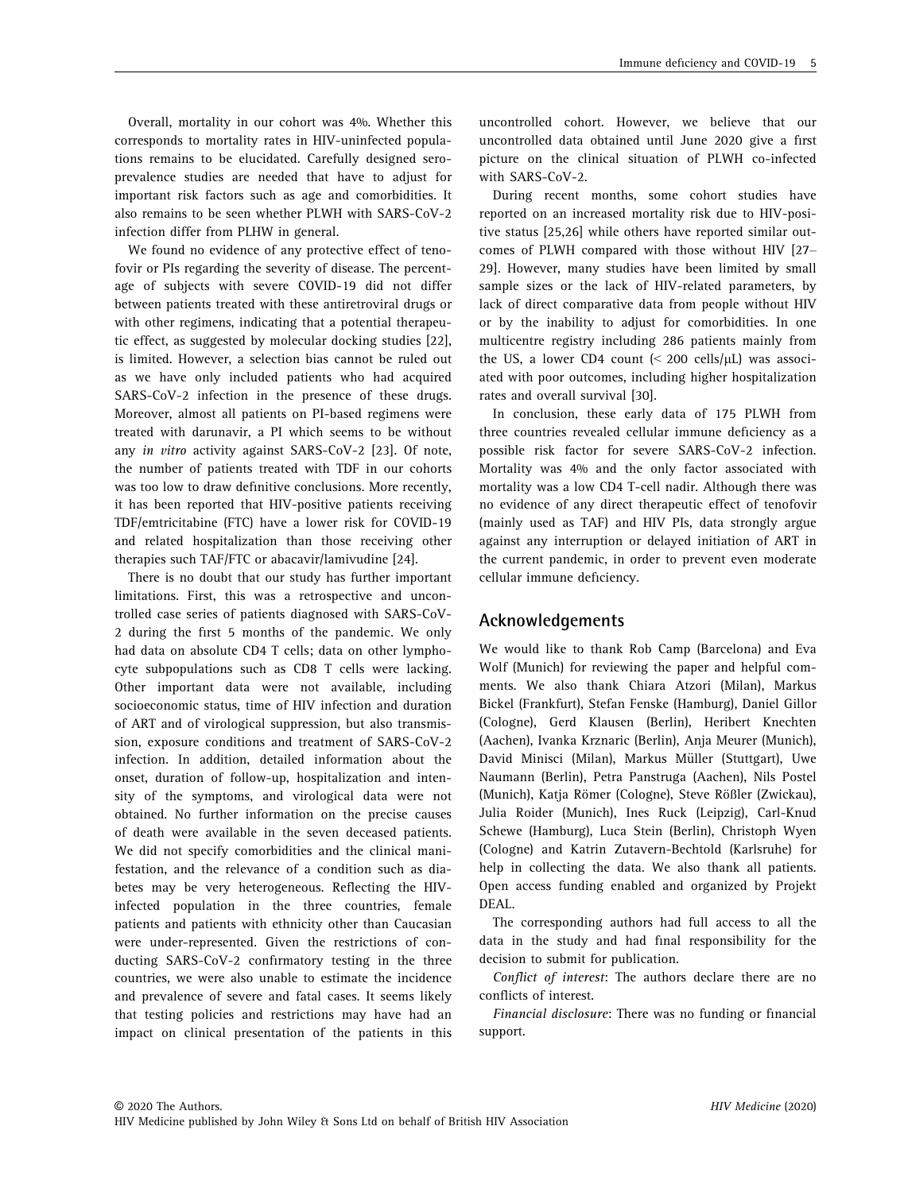Overall, mortality in our cohort was 4%. Whether this corresponds to mortality rates in HIV-uninfected populations remains to be elucidated. Carefully designed seroprevalence studies are needed that have to adjust for important risk factors such as age and comorbidities. It also remains to be seen whether PLWH with SARS-CoV-2 infection differ from PLHW in general.

We found no evidence of any protective effect of tenofovir or PIs regarding the severity of disease. The percentage of subjects with severe COVID-19 did not differ between patients treated with these antiretroviral drugs or with other regimens, indicating that a potential therapeutic effect, as suggested by molecular docking studies [22], is limited. However, a selection bias cannot be ruled out as we have only included patients who had acquired SARS-CoV-2 infection in the presence of these drugs. Moreover, almost all patients on PI-based regimens were treated with darunavir, a PI which seems to be without any in vitro activity against SARS-CoV-2 [23]. Of note, the number of patients treated with TDF in our cohorts was too low to draw definitive conclusions. More recently, it has been reported that HIV-positive patients receiving TDF/emtricitabine (FTC) have a lower risk for COVID-19 and related hospitalization than those receiving other therapies such TAF/FTC or abacavir/lamivudine [24].

There is no doubt that our study has further important limitations. First, this was a retrospective and uncontrolled case series of patients diagnosed with SARS-CoV-2 during the first 5 months of the pandemic. We only had data on absolute CD4 T cells; data on other lymphocyte subpopulations such as CD8 T cells were lacking. Other important data were not available, including socioeconomic status, time of HIV infection and duration of ART and of virological suppression, but also transmission, exposure conditions and treatment of SARS-CoV-2 infection. In addition, detailed information about the onset, duration of follow-up, hospitalization and intensity of the symptoms, and virological data were not obtained. No further information on the precise causes of death were available in the seven deceased patients. We did not specify comorbidities and the clinical manifestation, and the relevance of a condition such as diabetes may be very heterogeneous. Reflecting the HIVinfected population in the three countries, female patients and patients with ethnicity other than Caucasian were under-represented. Given the restrictions of conducting SARS-CoV-2 confirmatory testing in the three countries, we were also unable to estimate the incidence and prevalence of severe and fatal cases. It seems likely that testing policies and restrictions may have had an impact on clinical presentation of the patients in this uncontrolled cohort. However, we believe that our uncontrolled data obtained until June 2020 give a first picture on the clinical situation of PLWH co-infected with SARS-CoV-2.

During recent months, some cohort studies have reported on an increased mortality risk due to HIV-positive status [25,26] while others have reported similar outcomes of PLWH compared with those without HIV [27– 29]. However, many studies have been limited by small sample sizes or the lack of HIV-related parameters, by lack of direct comparative data from people without HIV or by the inability to adjust for comorbidities. In one multicentre registry including 286 patients mainly from the US, a lower CD4 count  $\leq$  200 cells/ $\mu$ L) was associated with poor outcomes, including higher hospitalization rates and overall survival [30].

In conclusion, these early data of 175 PLWH from three countries revealed cellular immune deficiency as a possible risk factor for severe SARS-CoV-2 infection. Mortality was 4% and the only factor associated with mortality was a low CD4 T-cell nadir. Although there was no evidence of any direct therapeutic effect of tenofovir (mainly used as TAF) and HIV PIs, data strongly argue against any interruption or delayed initiation of ART in the current pandemic, in order to prevent even moderate cellular immune deficiency.

## Acknowledgements

We would like to thank Rob Camp (Barcelona) and Eva Wolf (Munich) for reviewing the paper and helpful comments. We also thank Chiara Atzori (Milan), Markus Bickel (Frankfurt), Stefan Fenske (Hamburg), Daniel Gillor (Cologne), Gerd Klausen (Berlin), Heribert Knechten (Aachen), Ivanka Krznaric (Berlin), Anja Meurer (Munich), David Minisci (Milan), Markus Müller (Stuttgart), Uwe Naumann (Berlin), Petra Panstruga (Aachen), Nils Postel (Munich), Katja Römer (Cologne), Steve Rößler (Zwickau), Julia Roider (Munich), Ines Ruck (Leipzig), Carl-Knud Schewe (Hamburg), Luca Stein (Berlin), Christoph Wyen (Cologne) and Katrin Zutavern-Bechtold (Karlsruhe) for help in collecting the data. We also thank all patients. Open access funding enabled and organized by Projekt DEAL.

The corresponding authors had full access to all the data in the study and had final responsibility for the decision to submit for publication.

Conflict of interest: The authors declare there are no conflicts of interest.

Financial disclosure: There was no funding or financial support.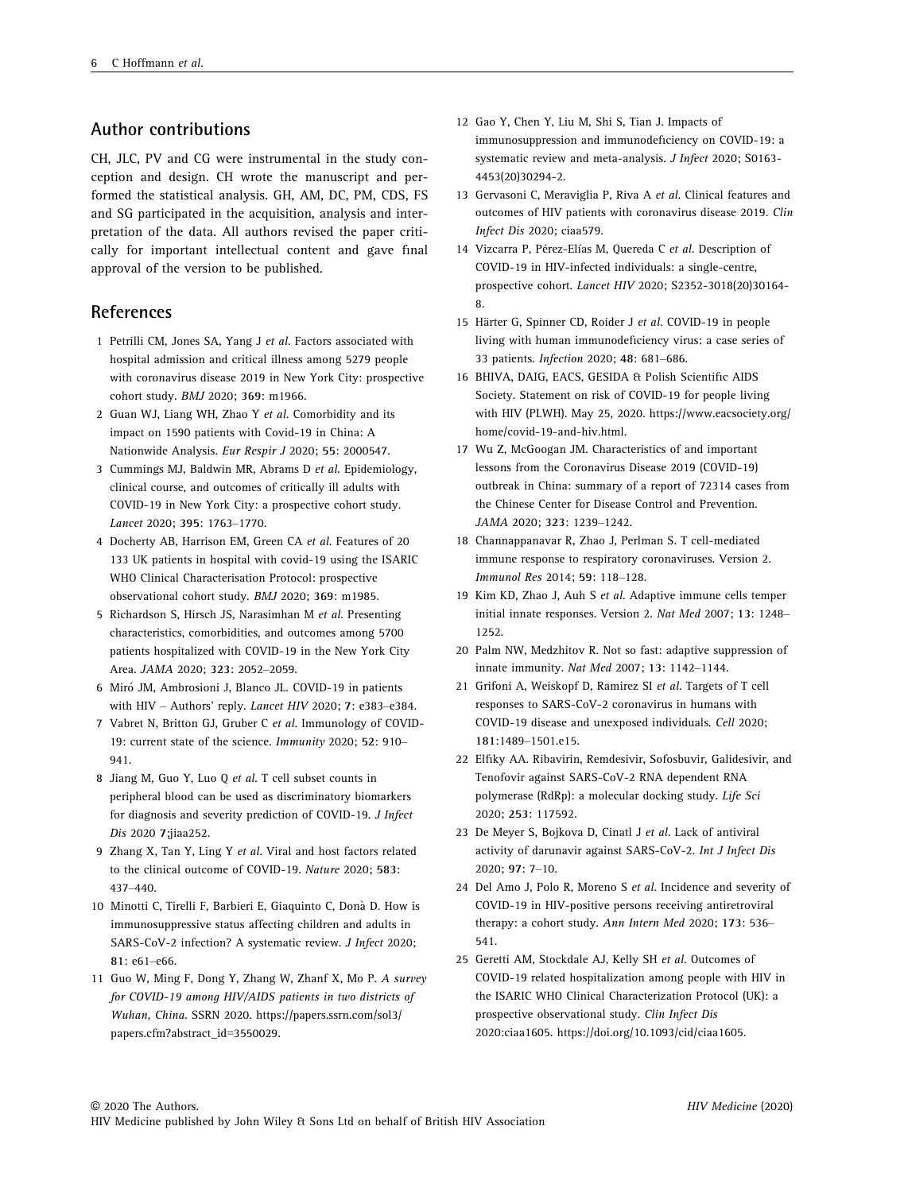# Author contributions

CH, JLC, PV and CG were instrumental in the study conception and design. CH wrote the manuscript and performed the statistical analysis. GH, AM, DC, PM, CDS, FS and SG participated in the acquisition, analysis and interpretation of the data. All authors revised the paper critically for important intellectual content and gave final approval of the version to be published.

# **References**

- 1 Petrilli CM, Jones SA, Yang J et al. Factors associated with hospital admission and critical illness among 5279 people with coronavirus disease 2019 in New York City: prospective cohort study. BMJ 2020; 369: m1966.
- 2 Guan WJ, Liang WH, Zhao Y et al. Comorbidity and its impact on 1590 patients with Covid-19 in China: A Nationwide Analysis. Eur Respir J 2020; 55: 2000547.
- 3 Cummings MJ, Baldwin MR, Abrams D et al. Epidemiology, clinical course, and outcomes of critically ill adults with COVID-19 in New York City: a prospective cohort study. Lancet 2020; 395: 1763–1770.
- 4 Docherty AB, Harrison EM, Green CA et al. Features of 20 133 UK patients in hospital with covid-19 using the ISARIC WHO Clinical Characterisation Protocol: prospective observational cohort study. BMJ 2020; 369: m1985.
- 5 Richardson S, Hirsch JS, Narasimhan M et al. Presenting characteristics, comorbidities, and outcomes among 5700 patients hospitalized with COVID-19 in the New York City Area. JAMA 2020; 323: 2052–2059.
- 6 Miro JM, Ambrosioni J, Blanco JL. COVID-19 in patients with HIV – Authors' reply. Lancet HIV 2020; 7: e383–e384.
- 7 Vabret N, Britton GJ, Gruber C et al. Immunology of COVID-19: current state of the science. Immunity 2020; 52: 910– 941.
- 8 Jiang M, Guo Y, Luo Q et al. T cell subset counts in peripheral blood can be used as discriminatory biomarkers for diagnosis and severity prediction of COVID-19. J Infect Dis 2020 7;jiaa252.
- 9 Zhang X, Tan Y, Ling Y et al. Viral and host factors related to the clinical outcome of COVID-19. Nature 2020; 583: 437–440.
- 10 Minotti C, Tirelli F, Barbieri E, Giaquinto C, Dona D. How is immunosuppressive status affecting children and adults in SARS-CoV-2 infection? A systematic review. J Infect 2020; 81: e61–e66.
- 11 Guo W, Ming F, Dong Y, Zhang W, Zhanf X, Mo P. A survey for COVID-19 among HIV/AIDS patients in two districts of Wuhan, China. SSRN 2020. https://papers.ssrn.com/sol3/ papers.cfm?abstract\_id=3550029.
- 12 Gao Y, Chen Y, Liu M, Shi S, Tian J. Impacts of immunosuppression and immunodeficiency on COVID-19: a systematic review and meta-analysis. J Infect 2020; S0163- 4453(20)30294-2.
- 13 Gervasoni C, Meraviglia P, Riva A et al. Clinical features and outcomes of HIV patients with coronavirus disease 2019. Clin Infect Dis 2020; ciaa579.
- 14 Vizcarra P, Pérez-Elías M, Quereda C et al. Description of COVID-19 in HIV-infected individuals: a single-centre, prospective cohort. Lancet HIV 2020; S2352-3018(20)30164- 8.
- 15 Härter G, Spinner CD, Roider J et al. COVID-19 in people living with human immunodeficiency virus: a case series of 33 patients. Infection 2020; 48: 681–686.
- 16 BHIVA, DAIG, EACS, GESIDA & Polish Scientific AIDS Society. Statement on risk of COVID-19 for people living with HIV (PLWH). May 25, 2020. https://www.eacsociety.org/ home/covid-19-and-hiv.html.
- 17 Wu Z, McGoogan JM. Characteristics of and important lessons from the Coronavirus Disease 2019 (COVID-19) outbreak in China: summary of a report of 72314 cases from the Chinese Center for Disease Control and Prevention. JAMA 2020; 323: 1239–1242.
- 18 Channappanavar R, Zhao J, Perlman S. T cell-mediated immune response to respiratory coronaviruses. Version 2. Immunol Res 2014; 59: 118–128.
- 19 Kim KD, Zhao J, Auh S et al. Adaptive immune cells temper initial innate responses. Version 2. Nat Med 2007; 13: 1248– 1252.
- 20 Palm NW, Medzhitov R. Not so fast: adaptive suppression of innate immunity. Nat Med 2007; 13: 1142–1144.
- 21 Grifoni A, Weiskopf D, Ramirez SI et al. Targets of T cell responses to SARS-CoV-2 coronavirus in humans with COVID-19 disease and unexposed individuals. Cell 2020; 181:1489–1501.e15.
- 22 Elfiky AA. Ribavirin, Remdesivir, Sofosbuvir, Galidesivir, and Tenofovir against SARS-CoV-2 RNA dependent RNA polymerase (RdRp): a molecular docking study. Life Sci 2020; 253: 117592.
- 23 De Meyer S, Bojkova D, Cinatl J et al. Lack of antiviral activity of darunavir against SARS-CoV-2. Int J Infect Dis 2020; 97: 7–10.
- 24 Del Amo J, Polo R, Moreno S et al. Incidence and severity of COVID-19 in HIV-positive persons receiving antiretroviral therapy: a cohort study. Ann Intern Med 2020; 173: 536– 541.
- 25 Geretti AM, Stockdale AJ, Kelly SH et al. Outcomes of COVID-19 related hospitalization among people with HIV in the ISARIC WHO Clinical Characterization Protocol (UK): a prospective observational study. Clin Infect Dis 2020:ciaa1605. https://doi.org/10.1093/cid/ciaa1605.